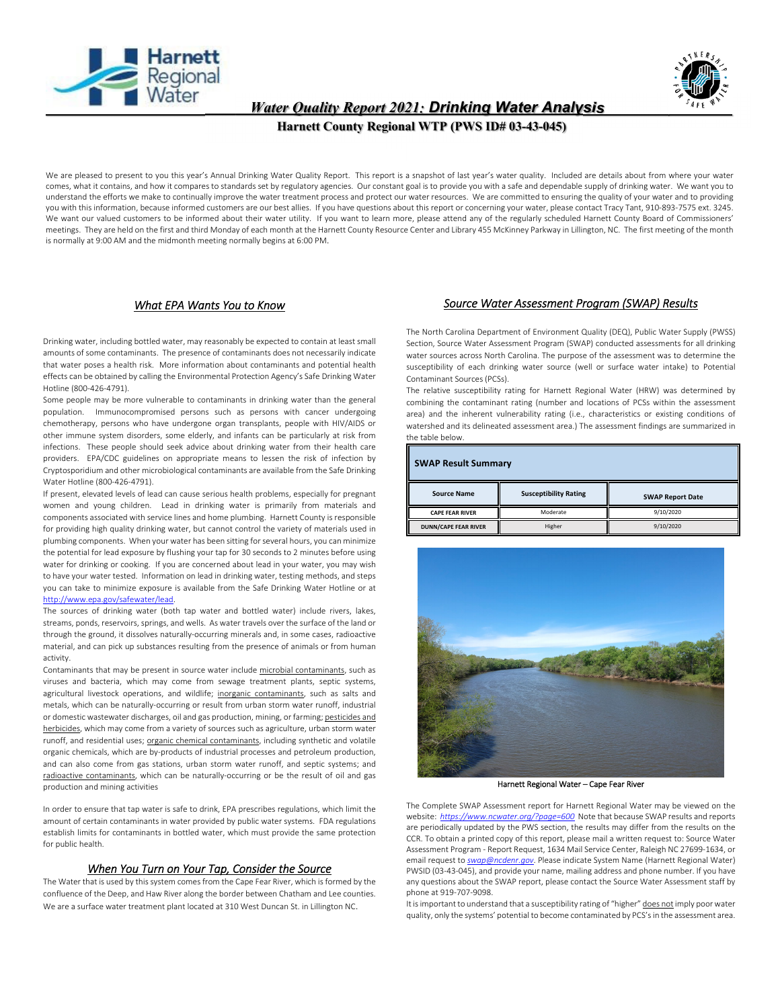



# *Water Quality Report 2021: Drinking Water Analysis*

 **Harnett County Regional WTP (PWS ID# 03-43-045)** 

We are pleased to present to you this year's Annual Drinking Water Quality Report. This report is a snapshot of last year's water quality. Included are details about from where your water comes, what it contains, and how it compares to standards set by regulatory agencies. Our constant goal is to provide you with a safe and dependable supply of drinking water. We want you to understand the efforts we make to continually improve the water treatment process and protect our water resources. We are committed to ensuring the quality of your water and to providing you with this information, because informed customers are our best allies. If you have questions about this report or concerning your water, please contact Tracy Tant, 910‐893‐7575 ext. 3245. We want our valued customers to be informed about their water utility. If you want to learn more, please attend any of the regularly scheduled Harnett County Board of Commissioners' meetings. They are held on the first and third Monday of each month at the Harnett County Resource Center and Library 455 McKinney Parkway in Lillington, NC. The first meeting of the month is normally at 9:00 AM and the midmonth meeting normally begins at 6:00 PM.

# *What EPA Wants You to Know*

Drinking water, including bottled water, may reasonably be expected to contain at least small amounts of some contaminants. The presence of contaminants does not necessarily indicate that water poses a health risk. More information about contaminants and potential health effects can be obtained by calling the Environmental Protection Agency's Safe Drinking Water Hotline (800‐426‐4791).

Some people may be more vulnerable to contaminants in drinking water than the general population. Immunocompromised persons such as persons with cancer undergoing chemotherapy, persons who have undergone organ transplants, people with HIV/AIDS or other immune system disorders, some elderly, and infants can be particularly at risk from infections. These people should seek advice about drinking water from their health care providers. EPA/CDC guidelines on appropriate means to lessen the risk of infection by Cryptosporidium and other microbiological contaminants are available from the Safe Drinking Water Hotline (800‐426‐4791).

If present, elevated levels of lead can cause serious health problems, especially for pregnant women and young children. Lead in drinking water is primarily from materials and components associated with service lines and home plumbing. Harnett County is responsible for providing high quality drinking water, but cannot control the variety of materials used in plumbing components. When your water has been sitting forseveral hours, you can minimize the potential for lead exposure by flushing your tap for 30 seconds to 2 minutes before using water for drinking or cooking. If you are concerned about lead in your water, you may wish to have your water tested. Information on lead in drinking water, testing methods, and steps you can take to minimize exposure is available from the Safe Drinking Water Hotline or at http://www.epa.gov/safewater/lead.

The sources of drinking water (both tap water and bottled water) include rivers, lakes, streams, ponds, reservoirs, springs, and wells. As water travels over the surface of the land or through the ground, it dissolves naturally‐occurring minerals and, in some cases, radioactive material, and can pick up substances resulting from the presence of animals or from human activity.

Contaminants that may be present in source water include microbial contaminants, such as viruses and bacteria, which may come from sewage treatment plants, septic systems, agricultural livestock operations, and wildlife; inorganic contaminants, such as salts and metals, which can be naturally‐occurring or result from urban storm water runoff, industrial or domestic wastewater discharges, oil and gas production, mining, or farming; pesticides and herbicides, which may come from a variety of sources such as agriculture, urban storm water runoff, and residential uses; organic chemical contaminants, including synthetic and volatile organic chemicals, which are by‐products of industrial processes and petroleum production, and can also come from gas stations, urban storm water runoff, and septic systems; and radioactive contaminants, which can be naturally‐occurring or be the result of oil and gas production and mining activities

In order to ensure that tap water is safe to drink, EPA prescribes regulations, which limit the amount of certain contaminants in water provided by public water systems. FDA regulations establish limits for contaminants in bottled water, which must provide the same protection for public health.

# *When You Turn on Your Tap, Consider the Source*

The Water that is used by this system comes from the Cape Fear River, which is formed by the confluence of the Deep, and Haw River along the border between Chatham and Lee counties. We are a surface water treatment plant located at 310 West Duncan St. in Lillington NC.

# *Source Water Assessment Program (SWAP) Results*

The North Carolina Department of Environment Quality (DEQ), Public Water Supply (PWSS) Section, Source Water Assessment Program (SWAP) conducted assessments for all drinking water sources across North Carolina. The purpose of the assessment was to determine the susceptibility of each drinking water source (well or surface water intake) to Potential Contaminant Sources (PCSs).

The relative susceptibility rating for Harnett Regional Water (HRW) was determined by combining the contaminant rating (number and locations of PCSs within the assessment area) and the inherent vulnerability rating (i.e., characteristics or existing conditions of watershed and its delineated assessment area.) The assessment findings are summarized in the table below.

| <b>SWAP Result Summary</b>  |                              |                         |  |  |  |  |  |  |  |
|-----------------------------|------------------------------|-------------------------|--|--|--|--|--|--|--|
| <b>Source Name</b>          | <b>Susceptibility Rating</b> | <b>SWAP Report Date</b> |  |  |  |  |  |  |  |
| <b>CAPE FEAR RIVER</b>      | Moderate                     | 9/10/2020               |  |  |  |  |  |  |  |
| <b>DUNN/CAPE FEAR RIVER</b> | Higher                       | 9/10/2020               |  |  |  |  |  |  |  |



Harnett Regional Water – Cape Fear River

The Complete SWAP Assessment report for Harnett Regional Water may be viewed on the website: *https://www.ncwater.org/?page=600* Note that because SWAP results and reports are periodically updated by the PWS section, the results may differ from the results on the CCR. To obtain a printed copy of this report, please mail a written request to: Source Water Assessment Program ‐ Report Request, 1634 Mail Service Center, Raleigh NC 27699‐1634, or email request to *swap@ncdenr.gov*. Please indicate System Name (Harnett Regional Water) PWSID (03‐43‐045), and provide your name, mailing address and phone number. If you have any questions about the SWAP report, please contact the Source Water Assessment staff by phone at 919‐707‐9098.

It is important to understand that a susceptibility rating of "higher" does not imply poor water quality, only the systems' potential to become contaminated by PCS'sin the assessment area.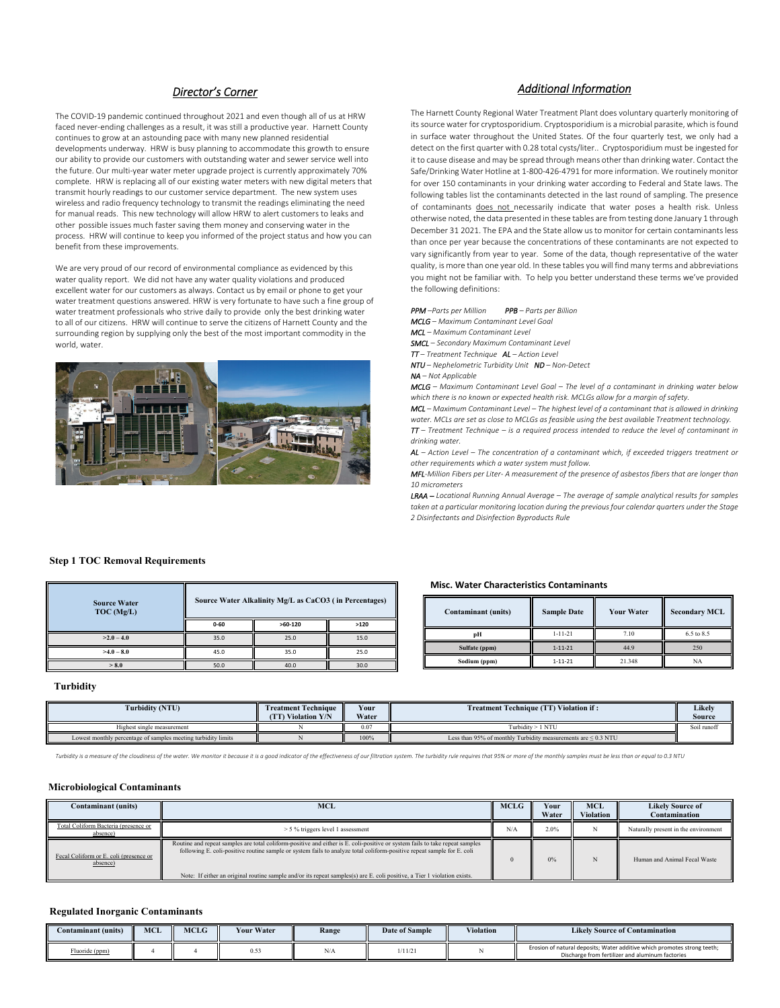# *Director's Corner*

The COVID‐19 pandemic continued throughout 2021 and even though all of us at HRW faced never‐ending challenges as a result, it was still a productive year. Harnett County continues to grow at an astounding pace with many new planned residential developments underway. HRW is busy planning to accommodate this growth to ensure our ability to provide our customers with outstanding water and sewer service well into the future. Our multi‐year water meter upgrade project is currently approximately 70% complete. HRW is replacing all of our existing water meters with new digital meters that transmit hourly readings to our customer service department. The new system uses wireless and radio frequency technology to transmit the readings eliminating the need for manual reads. This new technology will allow HRW to alert customers to leaks and other possible issues much faster saving them money and conserving water in the process. HRW will continue to keep you informed of the project status and how you can benefit from these improvements.

We are very proud of our record of environmental compliance as evidenced by this water quality report. We did not have any water quality violations and produced excellent water for our customers as always. Contact us by email or phone to get your water treatment questions answered. HRW is very fortunate to have such a fine group of water treatment professionals who strive daily to provide only the best drinking water to all of our citizens. HRW will continue to serve the citizens of Harnett County and the surrounding region by supplying only the best of the most important commodity in the world, water.



## *Additional Information*

The Harnett County Regional Water Treatment Plant does voluntary quarterly monitoring of its source water for cryptosporidium. Cryptosporidium is a microbial parasite, which is found in surface water throughout the United States. Of the four quarterly test, we only had a detect on the first quarter with 0.28 total cysts/liter.. Cryptosporidium must be ingested for it to cause disease and may be spread through means other than drinking water. Contact the Safe/Drinking Water Hotline at 1‐800‐426‐4791 for more information. We routinely monitor for over 150 contaminants in your drinking water according to Federal and State laws. The following tables list the contaminants detected in the last round of sampling. The presence of contaminants does not necessarily indicate that water poses a health risk. Unless otherwise noted, the data presented in these tables are from testing done January 1 through December 31 2021. The EPA and the State allow us to monitor for certain contaminants less than once per year because the concentrations of these contaminants are not expected to vary significantly from year to year. Some of the data, though representative of the water quality, is more than one year old. In these tables you will find many terms and abbreviations you might not be familiar with. To help you better understand these terms we've provided the following definitions:

*PPM –Parts per Million PPB – Parts per Billion*

*MCLG – Maximum Contaminant Level Goal*

*MCL – Maximum Contaminant Level*

*SMCL – Secondary Maximum Contaminant Level*

*TT – Treatment Technique AL – Action Level*

*NTU – Nephelometric Turbidity Unit ND – Non‐Detect*

*NA – Not Applicable* 

*MCLG – Maximum Contaminant Level Goal – The level of a contaminant in drinking water below which there is no known or expected health risk. MCLGs allow for a margin of safety.*

*MCL – Maximum Contaminant Level – The highest level of a contaminant that is allowed in drinking water. MCLs are set as close to MCLGs as feasible using the best available Treatment technology. TT – Treatment Technique – is a required process intended to reduce the level of contaminant in drinking water.*

*AL – Action Level – The concentration of a contaminant which, if exceeded triggers treatment or other requirements which a water system must follow.*

MFL-Million Fibers per Liter-A measurement of the presence of asbestos fibers that are longer than *10 micrometers*

*LRAA – Locational Running Annual Average – The average of sample analytical results for samples taken at a particular monitoring location during the previous four calendar quarters under the Stage 2 Disinfectants and Disinfection Byproducts Rule*

## **Step 1 TOC Removal Requirements**

| <b>Source Water</b><br>TOC (Mg/L) |          | Source Water Alkalinity Mg/L as CaCO3 (in Percentages) |      |  |  |  |  |  |
|-----------------------------------|----------|--------------------------------------------------------|------|--|--|--|--|--|
|                                   | $0 - 60$ | $>60-120$                                              | >120 |  |  |  |  |  |
| $>2.0 - 4.0$                      | 35.0     | 25.0                                                   | 15.0 |  |  |  |  |  |
| $>4.0 - 8.0$                      | 45.0     | 35.0                                                   | 25.0 |  |  |  |  |  |
| > 8.0                             | 50.0     | 40.0                                                   | 30.0 |  |  |  |  |  |

#### **Misc. Water Characteristics Contaminants**

| Contaminant (units) | <b>Sample Date</b> | <b>Your Water</b> | <b>Secondary MCL</b> |
|---------------------|--------------------|-------------------|----------------------|
| pН                  | $1 - 11 - 21$      | 7.10              | 6.5 to 8.5           |
| Sulfate (ppm)       | $1 - 11 - 21$      | 44.9              | 250                  |
| Sodium (ppm)        | $1 - 11 - 21$      | 21.348            | NA                   |

#### **Turbidity**

| Turbidity (NTU)                                               | <b>Treatment Technique</b><br><b>TT)</b> Violation Y/N | Your<br>Water | <b>Treatment Technique (TT) Violation if:</b>                      | Likelv<br>Source |
|---------------------------------------------------------------|--------------------------------------------------------|---------------|--------------------------------------------------------------------|------------------|
| Highest single measurement                                    |                                                        | 0.07          | [urbidity > 1<br>I NTI                                             | Soil runoff      |
| Lowest monthly percentage of samples meeting turbidity limits |                                                        | 100%          | Less than 95% of monthly Turbidity measurements are $\leq 0.3$ NTU |                  |

Turbidity is a measure of the cloudiness of the water. We monitor it because it is a good indicator of the effectiveness of our filtration system. The turbidity rule requires that 95% or more of the monthly samples must be

#### **Microbiological Contaminants**

| <b>Contaminant (units)</b>                         | <b>MCL</b>                                                                                                                                                                                                                                                                                                                                                                         | <b>MCLG</b> | Your<br>Water | <b>MCL</b><br>Violation | <b>Likely Source of</b><br>Contamination |
|----------------------------------------------------|------------------------------------------------------------------------------------------------------------------------------------------------------------------------------------------------------------------------------------------------------------------------------------------------------------------------------------------------------------------------------------|-------------|---------------|-------------------------|------------------------------------------|
| Total Coliform Bacteria (presence or<br>absence)   | > 5 % triggers level 1 assessment                                                                                                                                                                                                                                                                                                                                                  | N/A         | 2.0%          |                         | Naturally present in the environment     |
| Fecal Coliform or E. coli (presence or<br>absence) | Routine and repeat samples are total coliform-positive and either is E. coli-positive or system fails to take repeat samples<br>following E. coli-positive routine sample or system fails to analyze total coliform-positive repeat sample for E. coli<br>Note: If either an original routine sample and/or its repeat samples(s) are E. coli positive, a Tier 1 violation exists. |             |               |                         | Human and Animal Fecal Waste             |

#### **Regulated Inorganic Contaminants**

| Contaminant (units) | MCL | MCLG | Your Water | Range | Date of Sample | <b>Violation</b> | <b>Likely Source of Contamination</b>                                                                                        |
|---------------------|-----|------|------------|-------|----------------|------------------|------------------------------------------------------------------------------------------------------------------------------|
| Fluoride (ppm)      |     |      |            | 187 P | 1/11/21        |                  | Erosion of natural deposits; Water additive which promotes strong teeth;<br>Discharge from fertilizer and aluminum factories |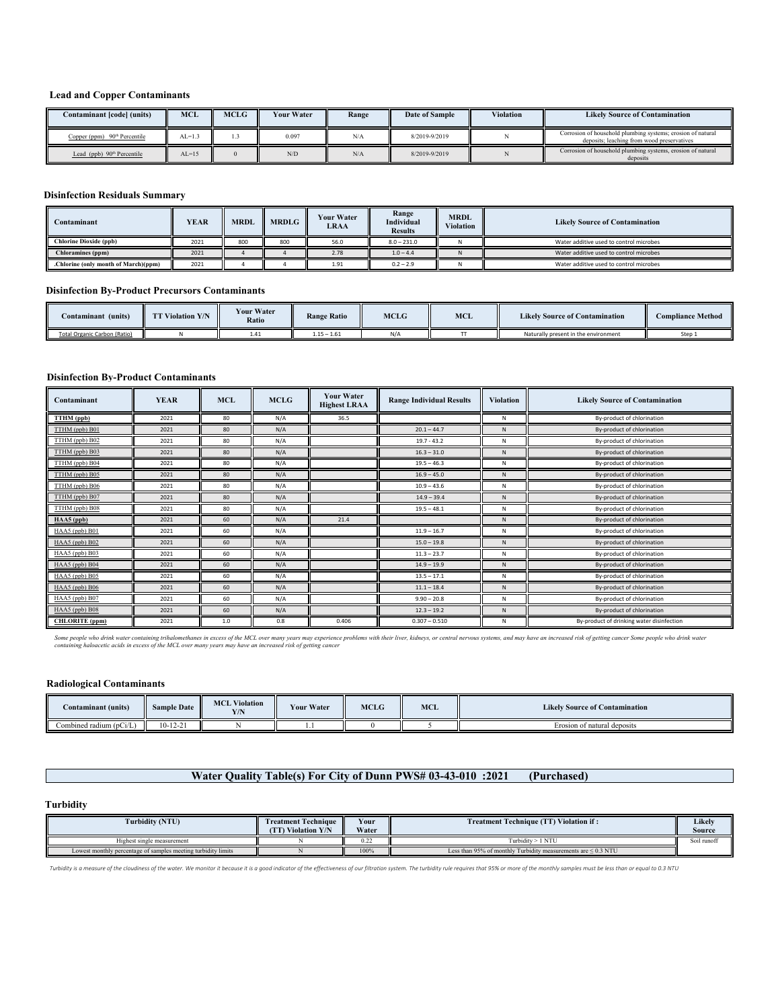## **Lead and Copper Contaminants**

| Contaminant [code] (units)     | <b>MCL</b> | <b>MCLG</b> | <b>Your Water</b> | Range | Date of Sample | <b>Violation</b> | <b>Likely Source of Contamination</b>                                                                     |
|--------------------------------|------------|-------------|-------------------|-------|----------------|------------------|-----------------------------------------------------------------------------------------------------------|
| Copper (ppm) $90th$ Percentile | $AL=1.3$   |             | 0.097             | N/A   | 8/2019-9/2019  |                  | Corrosion of household plumbing systems; erosion of natural<br>deposits: leaching from wood preservatives |
| Lead (ppb) $90th$ Percentile   | $AL=15$    |             | N/D               | N/A   | 8/2019-9/2019  |                  | Corrosion of household plumbing systems, erosion of natural<br>deposits                                   |

#### **Disinfection Residuals Summary**

| Contaminant                          | YEAR | <b>MRDL</b> | <b>MRDLG</b> | <b>Your Water</b><br>LRAA | Range<br>Individual<br><b>Results</b> | <b>MRDL</b><br><b>Violation</b> | <b>Likely Source of Contamination</b>   |
|--------------------------------------|------|-------------|--------------|---------------------------|---------------------------------------|---------------------------------|-----------------------------------------|
| <b>Chlorine Dioxide (ppb)</b>        | 2021 | 800         | 800          | 56.0                      | $8.0 - 231.0$                         |                                 | Water additive used to control microbes |
| Chloramines (ppm)                    | 2021 |             |              | 2.78                      | $1.0 - 4.4$                           |                                 | Water additive used to control microbes |
| .Chlorine (only month of March)(ppm) | 2021 |             |              | 1.91                      | $0.2 - 2.9$                           |                                 | Water additive used to control microbes |

## **Disinfection By-Product Precursors Contaminants**

| Contaminant (units)          | <b>TT Violation Y/N</b> | <b>Your Water</b><br>Ratio | <b>Range Ratio</b> | <b>MCLG</b> | <b>MCL</b> | <b>Likely Source of Contamination</b> | <b>Compliance Method</b> |
|------------------------------|-------------------------|----------------------------|--------------------|-------------|------------|---------------------------------------|--------------------------|
| Total Organic Carbon (Ratio) |                         |                            | $1.15 - 1.61$      | N/A         |            | Naturally present in the environment  | Step 1                   |

## **Disinfection By-Product Contaminants**

| Contaminant           | <b>YEAR</b> | <b>MCL</b> | <b>MCLG</b> | <b>Your Water</b><br><b>Highest LRAA</b> | <b>Range Individual Results</b> | <b>Violation</b> | <b>Likely Source of Contamination</b>     |
|-----------------------|-------------|------------|-------------|------------------------------------------|---------------------------------|------------------|-------------------------------------------|
| TTHM (ppb)            | 2021        | 80         | N/A         | 36.5                                     |                                 | N                | By-product of chlorination                |
| TTHM (ppb) B01        | 2021        | 80         | N/A         |                                          | $20.1 - 44.7$                   | $\mathsf{N}$     | By-product of chlorination                |
| TTHM (ppb) B02        | 2021        | 80         | N/A         |                                          | $19.7 - 43.2$                   | N                | By-product of chlorination                |
| TTHM (ppb) B03        | 2021        | 80         | N/A         |                                          | $16.3 - 31.0$                   | N                | By-product of chlorination                |
| TTHM (ppb) B04        | 2021        | 80         | N/A         |                                          | $19.5 - 46.3$                   | N                | By-product of chlorination                |
| TTHM (ppb) B05        | 2021        | 80         | N/A         |                                          | $16.9 - 45.0$                   | $\mathsf{N}$     | By-product of chlorination                |
| TTHM (ppb) B06        | 2021        | 80         | N/A         |                                          | $10.9 - 43.6$                   | N                | By-product of chlorination                |
| TTHM (ppb) B07        | 2021        | 80         | N/A         |                                          | $14.9 - 39.4$                   | N                | By-product of chlorination                |
| TTHM (ppb) B08        | 2021        | 80         | N/A         |                                          | $19.5 - 48.1$                   | N                | By-product of chlorination                |
| $HAA5$ (ppb)          | 2021        | 60         | N/A         | 21.4                                     |                                 | N                | By-product of chlorination                |
| HAA5 (ppb) B01        | 2021        | 60         | N/A         |                                          | $11.9 - 16.7$                   | N                | By-product of chlorination                |
| HAA5 (ppb) B02        | 2021        | 60         | N/A         |                                          | $15.0 - 19.8$                   | $\mathsf{N}$     | By-product of chlorination                |
| HAA5 (ppb) B03        | 2021        | 60         | N/A         |                                          | $11.3 - 23.7$                   | N                | By-product of chlorination                |
| HAA5 (ppb) B04        | 2021        | 60         | N/A         |                                          | $14.9 - 19.9$                   | N                | By-product of chlorination                |
| HAA5 (ppb) B05        | 2021        | 60         | N/A         |                                          | $13.5 - 17.1$                   | N                | By-product of chlorination                |
| HAA5 (ppb) B06        | 2021        | 60         | N/A         |                                          | $11.1 - 18.4$                   | N                | By-product of chlorination                |
| HAA5 (ppb) B07        | 2021        | 60         | N/A         |                                          | $9.90 - 20.8$                   | N                | By-product of chlorination                |
| HAA5 (ppb) B08        | 2021        | 60         | N/A         |                                          | $12.3 - 19.2$                   | N                | By-product of chlorination                |
| <b>CHLORITE</b> (ppm) | 2021        | 1.0        | 0.8         | 0.406                                    | $0.307 - 0.510$                 | N                | By-product of drinking water disinfection |

Some people who drink water containing trihalomethanes in excess of the MCL over many years may experience problems with their liver, kidneys, or central nervous systems, and may have an increased risk of getting cancer So

## **Radiological Contaminants**

| Contaminant (units)                                  | <b>Sample Date</b> | <b>MCL Violation</b><br>Y/N | <b>Your Water</b> | <b>MCLG</b> | MCL | <b>Likely Source of Contamination</b> |
|------------------------------------------------------|--------------------|-----------------------------|-------------------|-------------|-----|---------------------------------------|
| and a service of the con-<br>Combined radium (pCi/L) | $10-12-21$         |                             |                   |             |     | Erosion of natural deposits           |

# **Water Quality Table(s) For City of Dunn PWS# 03-43-010 :2021 (Purchased)**

## **Turbidity**

| <b>Turbidity (NTU)</b>                                        | <b>Treatment Technique</b><br><b>TT Violation Y/N</b> | Your<br>Water | <b>Treatment Technique (TT) Violation if:</b>                      | Likely<br>Source |
|---------------------------------------------------------------|-------------------------------------------------------|---------------|--------------------------------------------------------------------|------------------|
| Highest single measurement                                    |                                                       | 0.27<br>0.44  | Turbidity > 1 NTU                                                  | Soil runoff      |
| Lowest monthly percentage of samples meeting turbidity limits |                                                       | 100%          | Less than 95% of monthly Turbidity measurements are $\leq 0.3$ NTU |                  |

Turbidity is a measure of the cloudiness of the water. We monitor it because it is a good indicator of the effectiveness of our filtration system. The turbidity rule requires that 95% or more of the monthly samples must be